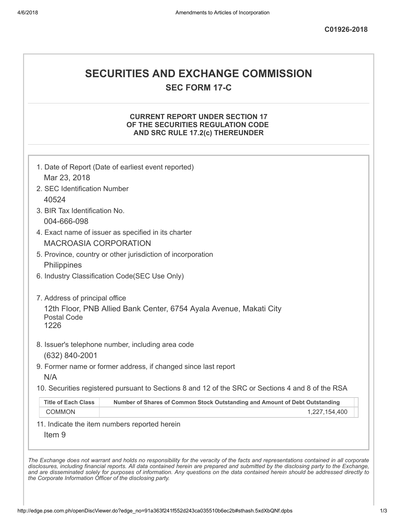# SECURITIES AND EXCHANGE COMMISSION

SEC FORM 17-C

## CURRENT REPORT UNDER SECTION 17 OF THE SECURITIES REGULATION CODE AND SRC RULE 17.2(c) THEREUNDER

| 2. SEC Identification Number   |                                                                                                   |
|--------------------------------|---------------------------------------------------------------------------------------------------|
| 40524                          |                                                                                                   |
| 3. BIR Tax Identification No.  |                                                                                                   |
| 004-666-098                    |                                                                                                   |
|                                | 4. Exact name of issuer as specified in its charter                                               |
| <b>MACROASIA CORPORATION</b>   |                                                                                                   |
|                                | 5. Province, country or other jurisdiction of incorporation                                       |
| Philippines                    |                                                                                                   |
|                                | 6. Industry Classification Code(SEC Use Only)                                                     |
|                                |                                                                                                   |
| 7. Address of principal office |                                                                                                   |
| <b>Postal Code</b><br>1226     | 12th Floor, PNB Allied Bank Center, 6754 Ayala Avenue, Makati City                                |
|                                | 8. Issuer's telephone number, including area code                                                 |
| (632) 840-2001                 |                                                                                                   |
|                                | 9. Former name or former address, if changed since last report                                    |
| N/A                            |                                                                                                   |
|                                | 10. Securities registered pursuant to Sections 8 and 12 of the SRC or Sections 4 and 8 of the RSA |
| <b>Title of Each Class</b>     | Number of Shares of Common Stock Outstanding and Amount of Debt Outstanding                       |
| <b>COMMON</b>                  | 1,227,154,400                                                                                     |
|                                | 11. Indicate the item numbers reported herein                                                     |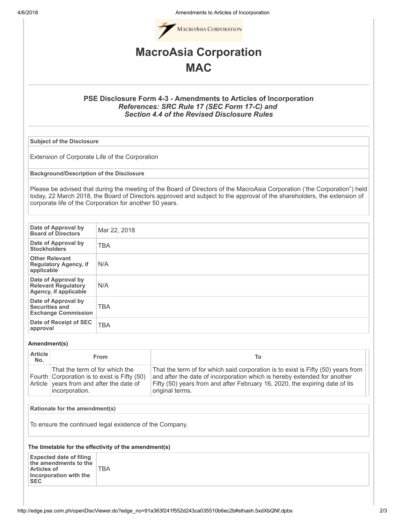4/6/2018 Amendments to Articles of Incorporation



# MacroAsia Corporation **MAC**

### PSE Disclosure Form 4-3 - Amendments to Articles of Incorporation References: SRC Rule 17 (SEC Form 17-C) and Section 4.4 of the Revised Disclosure Rules

Subject of the Disclosure

Extension of Corporate Life of the Corporation

Background/Description of the Disclosure

Please be advised that during the meeting of the Board of Directors of the MacroAsia Corporation ('the Corporation") held today, 22 March 2018, the Board of Directors approved and subject to the approval of the shareholders, the extension of corporate life of the Corporation for another 50 years.

| Date of Approval by<br><b>Board of Directors</b>                           | Mar 22, 2018 |
|----------------------------------------------------------------------------|--------------|
| Date of Approval by<br><b>Stockholders</b>                                 | <b>TBA</b>   |
| <b>Other Relevant</b><br><b>Regulatory Agency, if</b><br>applicable        | N/A          |
| Date of Approval by<br><b>Relevant Regulatory</b><br>Agency, if applicable | N/A          |
| Date of Approval by<br><b>Securities and</b><br><b>Exchange Commission</b> | <b>TBA</b>   |
| Date of Receipt of SEC<br>approval                                         | <b>TBA</b>   |

### Amendment(s)

| <b>Article</b><br>No. | From                                                                                                                                         | То                                                                                                                                                                                                                                                             |
|-----------------------|----------------------------------------------------------------------------------------------------------------------------------------------|----------------------------------------------------------------------------------------------------------------------------------------------------------------------------------------------------------------------------------------------------------------|
|                       | That the term of for which the<br>Fourth Corporation is to exist is Fifty (50)<br>Article vears from and after the date of<br>incorporation. | That the term of for which said corporation is to exist is Fifty (50) years from<br>and after the date of incorporation which is hereby extended for another<br>Fifty (50) years from and after February 16, 2020, the expiring date of its<br>original terms. |

### Rationale for the amendment(s)

To ensure the continued legal existence of the Company.

### The timetable for the effectivity of the amendment(s)

TBA

Expected date of filing the amendments to the Articles of Incorporation with the SEC